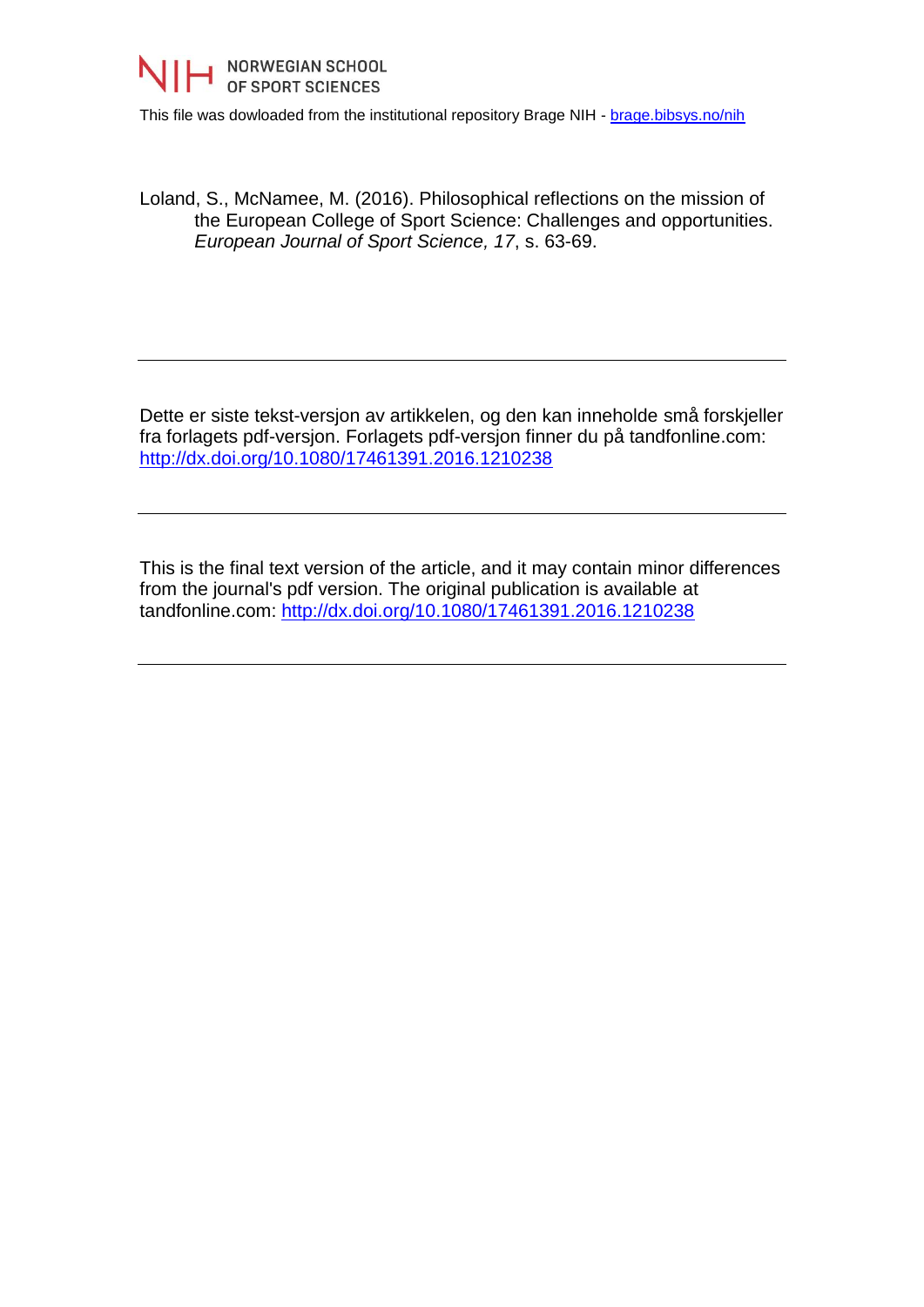

This file was dowloaded from the institutional repository Brage NIH - [brage.bibsys.no/nih](http://brage.bibsys.no/nih)

Loland, S., McNamee, M. (2016). Philosophical reflections on the mission of the European College of Sport Science: Challenges and opportunities. *European Journal of Sport Science, 17*, s. 63-69.

Dette er siste tekst-versjon av artikkelen, og den kan inneholde små forskjeller fra forlagets pdf-versjon. Forlagets pdf-versjon finner du på tandfonline.com: <http://dx.doi.org/10.1080/17461391.2016.1210238>

This is the final text version of the article, and it may contain minor differences from the journal's pdf version. The original publication is available at tandfonline.com:<http://dx.doi.org/10.1080/17461391.2016.1210238>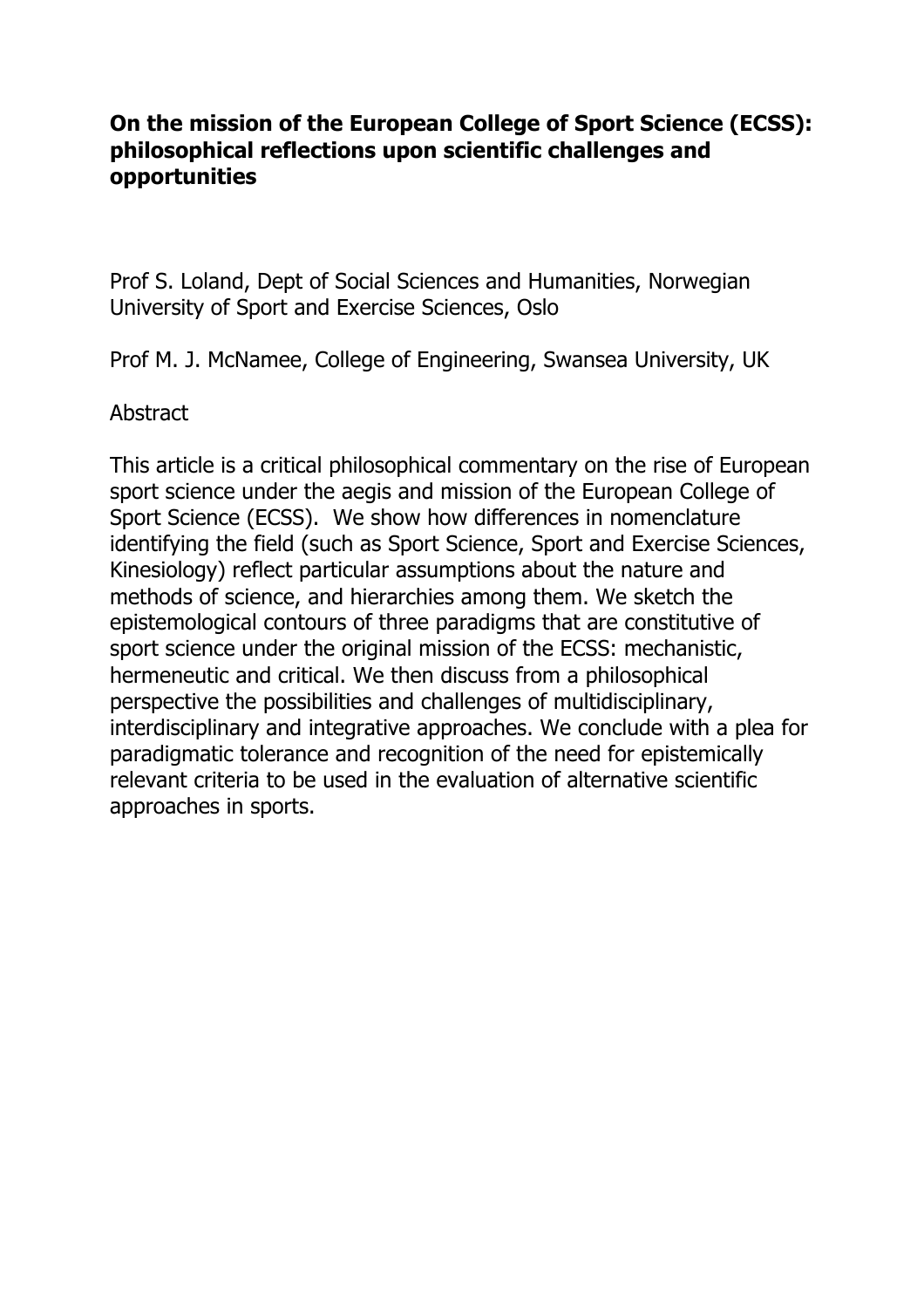### **On the mission of the European College of Sport Science (ECSS): philosophical reflections upon scientific challenges and opportunities**

Prof S. Loland, Dept of Social Sciences and Humanities, Norwegian University of Sport and Exercise Sciences, Oslo

Prof M. J. McNamee, College of Engineering, Swansea University, UK

### Abstract

This article is a critical philosophical commentary on the rise of European sport science under the aegis and mission of the European College of Sport Science (ECSS). We show how differences in nomenclature identifying the field (such as Sport Science, Sport and Exercise Sciences, Kinesiology) reflect particular assumptions about the nature and methods of science, and hierarchies among them. We sketch the epistemological contours of three paradigms that are constitutive of sport science under the original mission of the ECSS: mechanistic, hermeneutic and critical. We then discuss from a philosophical perspective the possibilities and challenges of multidisciplinary, interdisciplinary and integrative approaches. We conclude with a plea for paradigmatic tolerance and recognition of the need for epistemically relevant criteria to be used in the evaluation of alternative scientific approaches in sports.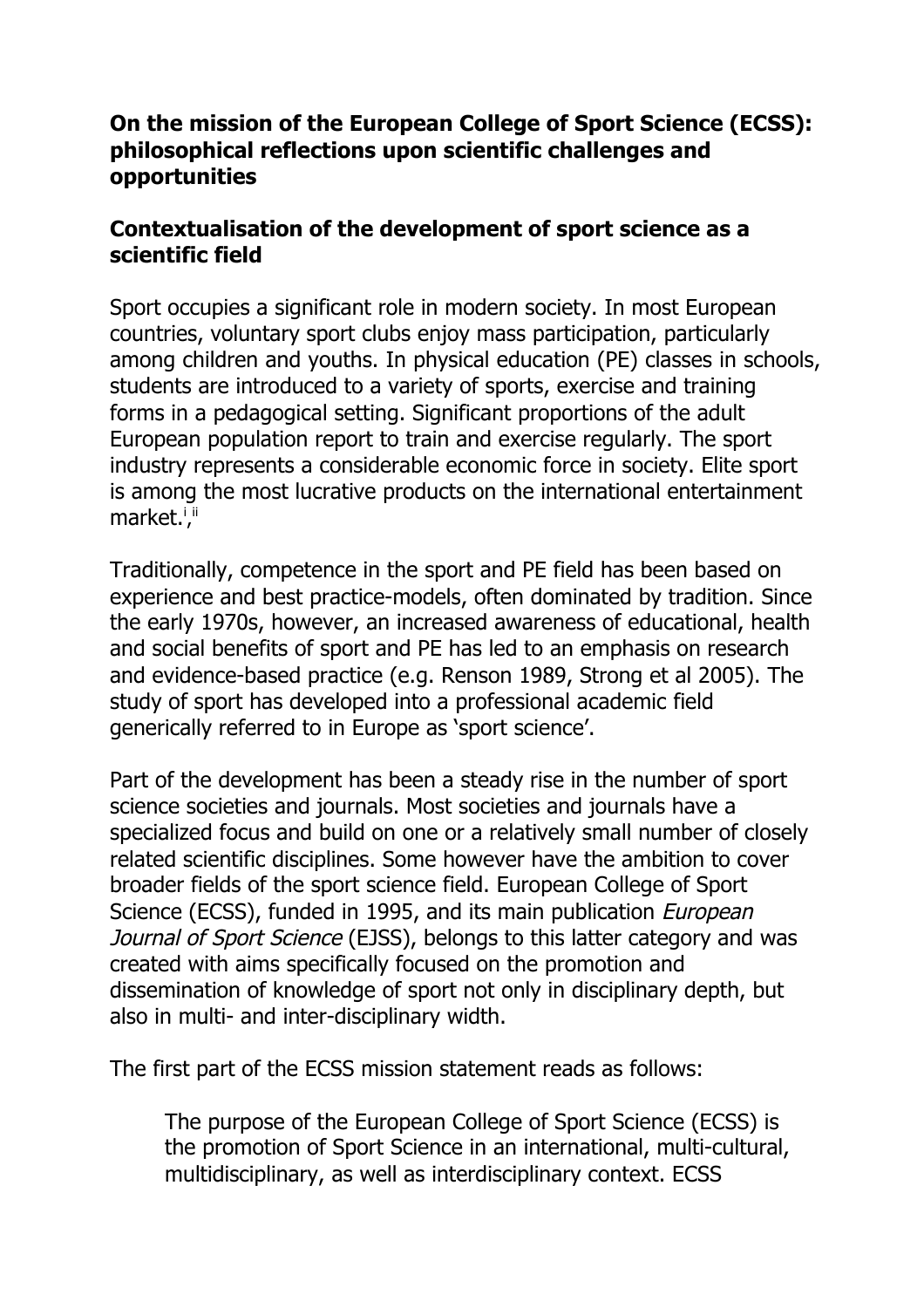### **On the mission of the European College of Sport Science (ECSS): philosophical reflections upon scientific challenges and opportunities**

### **Contextualisation of the development of sport science as a scientific field**

Sport occupies a significant role in modern society. In most European countries, voluntary sport clubs enjoy mass participation, particularly among children and youths. In physical education (PE) classes in schools, students are introduced to a variety of sports, exercise and training forms in a pedagogical setting. Significant proportions of the adult European population report to train and exercise regularly. The sport industry represents a considerable economic force in society. Elite sport is among the most lucrative products on the international entertainment market.',<sup>ii</sup>

Traditionally, competence in the sport and PE field has been based on experience and best practice-models, often dominated by tradition. Since the early 1970s, however, an increased awareness of educational, health and social benefits of sport and PE has led to an emphasis on research and evidence-based practice (e.g. Renson 1989, Strong et al 2005). The study of sport has developed into a professional academic field generically referred to in Europe as 'sport science'.

Part of the development has been a steady rise in the number of sport science societies and journals. Most societies and journals have a specialized focus and build on one or a relatively small number of closely related scientific disciplines. Some however have the ambition to cover broader fields of the sport science field. European College of Sport Science (ECSS), funded in 1995, and its main publication European Journal of Sport Science (EJSS), belongs to this latter category and was created with aims specifically focused on the promotion and dissemination of knowledge of sport not only in disciplinary depth, but also in multi- and inter-disciplinary width.

The first part of the ECSS mission statement reads as follows:

The purpose of the European College of Sport Science (ECSS) is the promotion of Sport Science in an international, multi-cultural, multidisciplinary, as well as interdisciplinary context. ECSS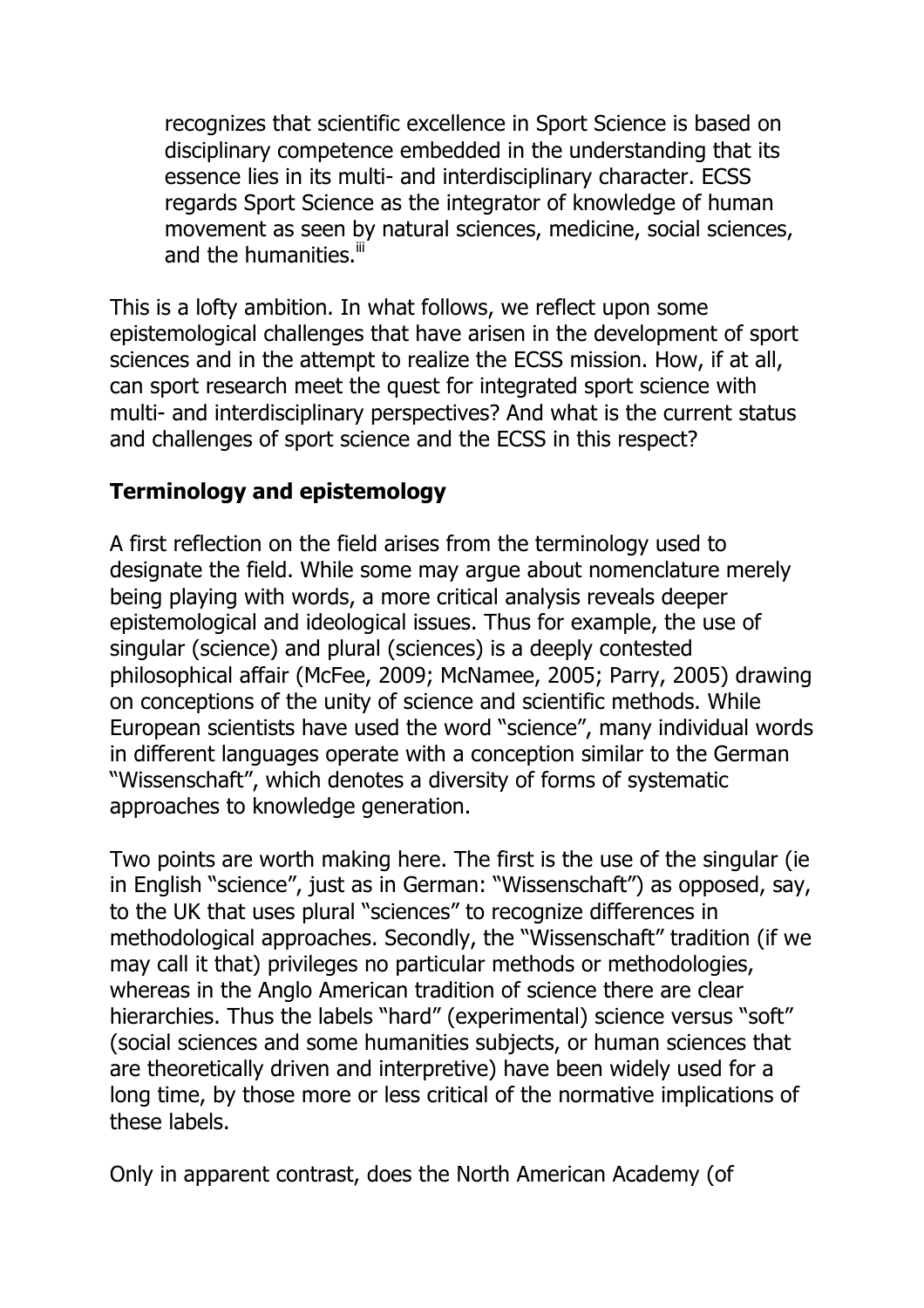recognizes that scientific excellence in Sport Science is based on disciplinary competence embedded in the understanding that its essence lies in its multi- and interdisciplinary character. ECSS regards Sport Science as the integrator of knowledge of human movement as seen by natural sciences, medicine, social sciences, and the humanities.<sup>iii</sup>

This is a lofty ambition. In what follows, we reflect upon some epistemological challenges that have arisen in the development of sport sciences and in the attempt to realize the ECSS mission. How, if at all, can sport research meet the quest for integrated sport science with multi- and interdisciplinary perspectives? And what is the current status and challenges of sport science and the ECSS in this respect?

# **Terminology and epistemology**

A first reflection on the field arises from the terminology used to designate the field. While some may argue about nomenclature merely being playing with words, a more critical analysis reveals deeper epistemological and ideological issues. Thus for example, the use of singular (science) and plural (sciences) is a deeply contested philosophical affair (McFee, 2009; McNamee, 2005; Parry, 2005) drawing on conceptions of the unity of science and scientific methods. While European scientists have used the word "science", many individual words in different languages operate with a conception similar to the German "Wissenschaft", which denotes a diversity of forms of systematic approaches to knowledge generation.

Two points are worth making here. The first is the use of the singular (ie in English "science", just as in German: "Wissenschaft") as opposed, say, to the UK that uses plural "sciences" to recognize differences in methodological approaches. Secondly, the "Wissenschaft" tradition (if we may call it that) privileges no particular methods or methodologies, whereas in the Anglo American tradition of science there are clear hierarchies. Thus the labels "hard" (experimental) science versus "soft" (social sciences and some humanities subjects, or human sciences that are theoretically driven and interpretive) have been widely used for a long time, by those more or less critical of the normative implications of these labels.

Only in apparent contrast, does the North American Academy (of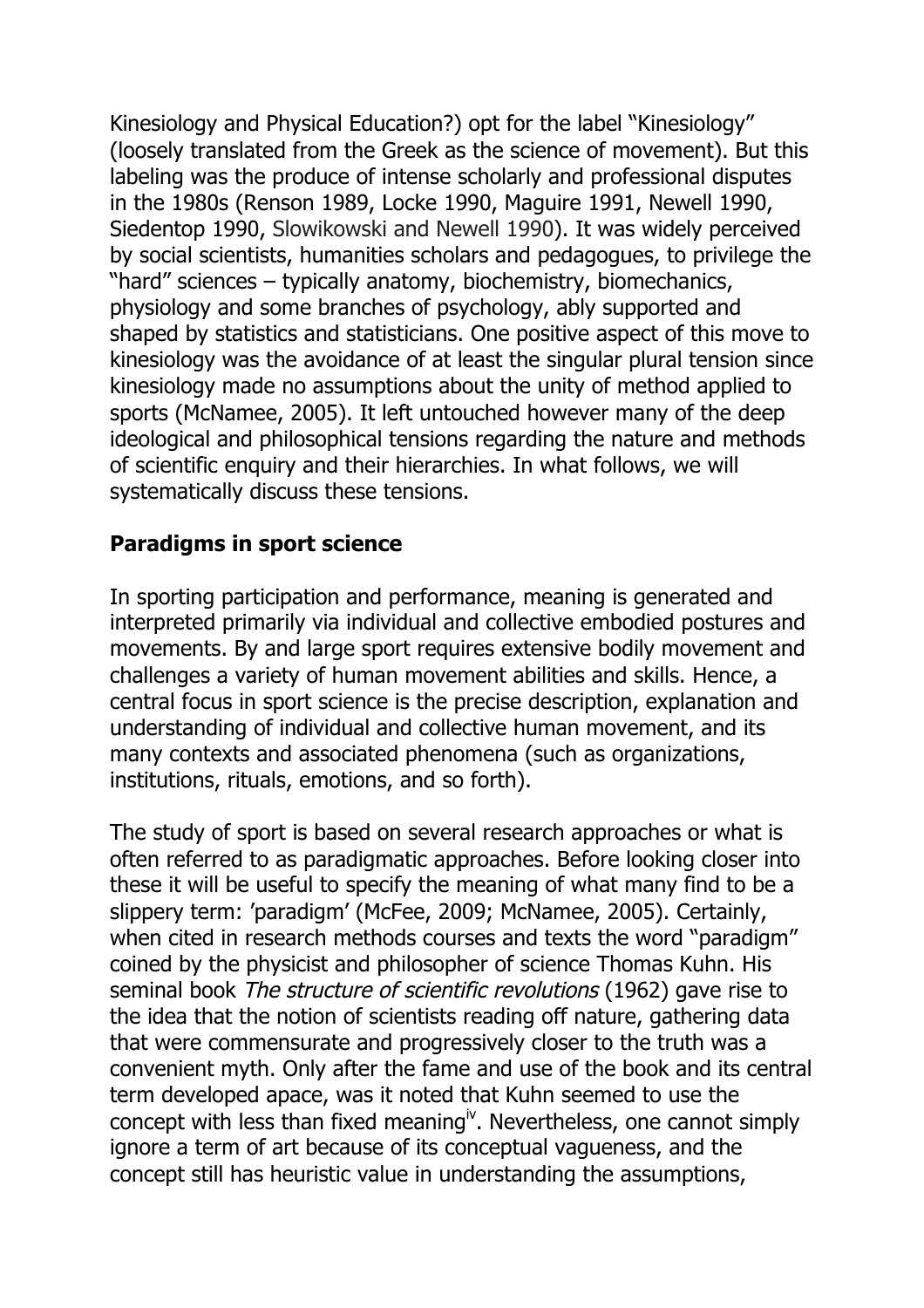Kinesiology and Physical Education?) opt for the label "Kinesiology" (loosely translated from the Greek as the science of movement). But this labeling was the produce of intense scholarly and professional disputes in the 1980s (Renson 1989, Locke 1990, Maguire 1991, Newell 1990, Siedentop 1990, Slowikowski and Newell 1990). It was widely perceived by social scientists, humanities scholars and pedagogues, to privilege the "hard" sciences – typically anatomy, biochemistry, biomechanics, physiology and some branches of psychology, ably supported and shaped by statistics and statisticians. One positive aspect of this move to kinesiology was the avoidance of at least the singular plural tension since kinesiology made no assumptions about the unity of method applied to sports (McNamee, 2005). It left untouched however many of the deep ideological and philosophical tensions regarding the nature and methods of scientific enquiry and their hierarchies. In what follows, we will systematically discuss these tensions.

# **Paradigms in sport science**

In sporting participation and performance, meaning is generated and interpreted primarily via individual and collective embodied postures and movements. By and large sport requires extensive bodily movement and challenges a variety of human movement abilities and skills. Hence, a central focus in sport science is the precise description, explanation and understanding of individual and collective human movement, and its many contexts and associated phenomena (such as organizations, institutions, rituals, emotions, and so forth).

The study of sport is based on several research approaches or what is often referred to as paradigmatic approaches. Before looking closer into these it will be useful to specify the meaning of what many find to be a slippery term: 'paradigm' (McFee, 2009; McNamee, 2005). Certainly, when cited in research methods courses and texts the word "paradigm" coined by the physicist and philosopher of science Thomas Kuhn. His seminal book The structure of scientific revolutions (1962) gave rise to the idea that the notion of scientists reading off nature, gathering data that were commensurate and progressively closer to the truth was a convenient myth. Only after the fame and use of the book and its central term developed apace, was it noted that Kuhn seemed to use the concept with less than fixed meaning<sup>iv</sup>. Nevertheless, one cannot simply ignore a term of art because of its conceptual vagueness, and the concept still has heuristic value in understanding the assumptions,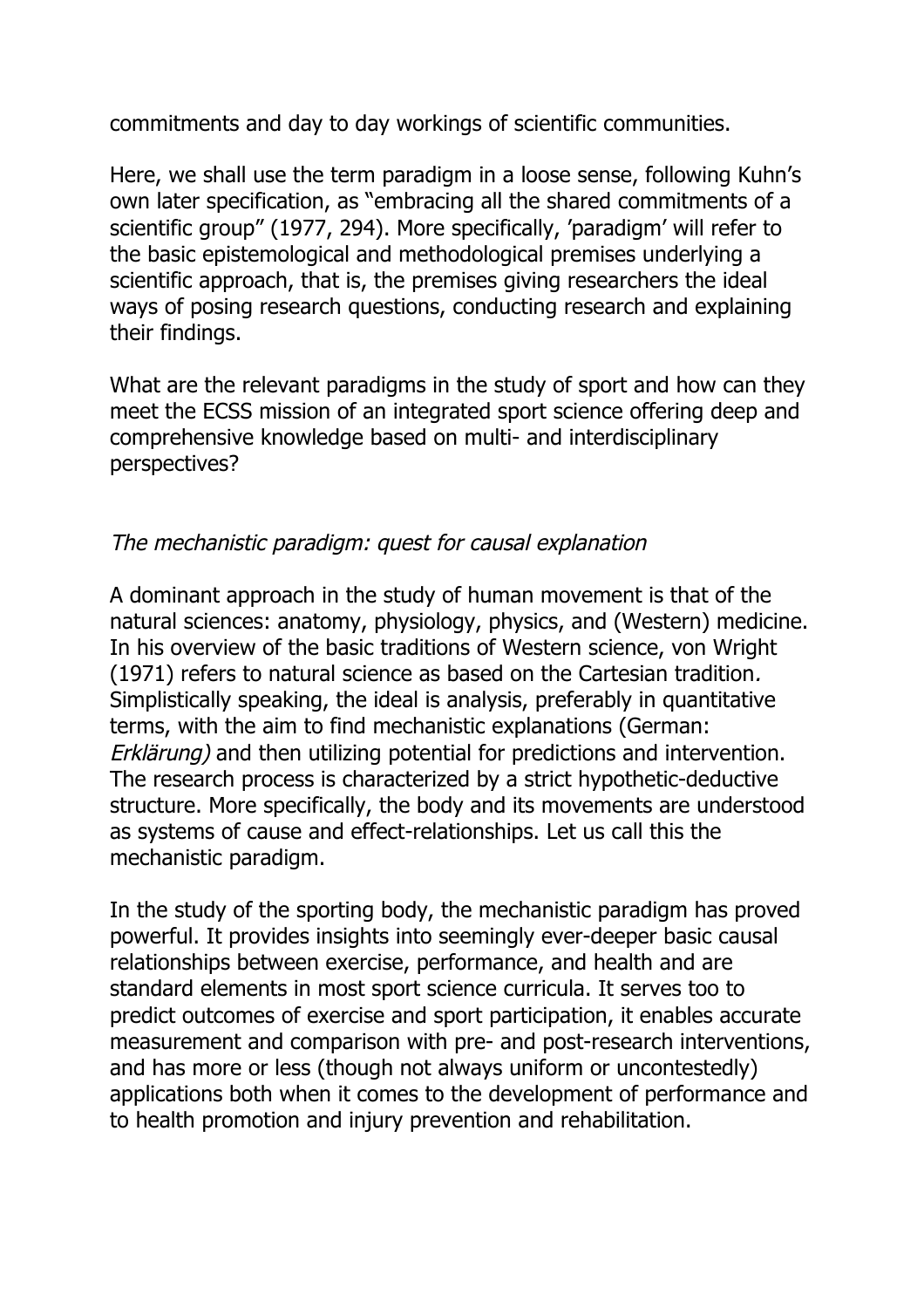commitments and day to day workings of scientific communities.

Here, we shall use the term paradigm in a loose sense, following Kuhn's own later specification, as "embracing all the shared commitments of a scientific group" (1977, 294). More specifically, 'paradigm' will refer to the basic epistemological and methodological premises underlying a scientific approach, that is, the premises giving researchers the ideal ways of posing research questions, conducting research and explaining their findings.

What are the relevant paradigms in the study of sport and how can they meet the ECSS mission of an integrated sport science offering deep and comprehensive knowledge based on multi- and interdisciplinary perspectives?

### The mechanistic paradigm: quest for causal explanation

A dominant approach in the study of human movement is that of the natural sciences: anatomy, physiology, physics, and (Western) medicine. In his overview of the basic traditions of Western science, von Wright (1971) refers to natural science as based on the Cartesian tradition. Simplistically speaking, the ideal is analysis, preferably in quantitative terms, with the aim to find mechanistic explanations (German: Erklärung) and then utilizing potential for predictions and intervention. The research process is characterized by a strict hypothetic-deductive structure. More specifically, the body and its movements are understood as systems of cause and effect-relationships. Let us call this the mechanistic paradigm.

In the study of the sporting body, the mechanistic paradigm has proved powerful. It provides insights into seemingly ever-deeper basic causal relationships between exercise, performance, and health and are standard elements in most sport science curricula. It serves too to predict outcomes of exercise and sport participation, it enables accurate measurement and comparison with pre- and post-research interventions, and has more or less (though not always uniform or uncontestedly) applications both when it comes to the development of performance and to health promotion and injury prevention and rehabilitation.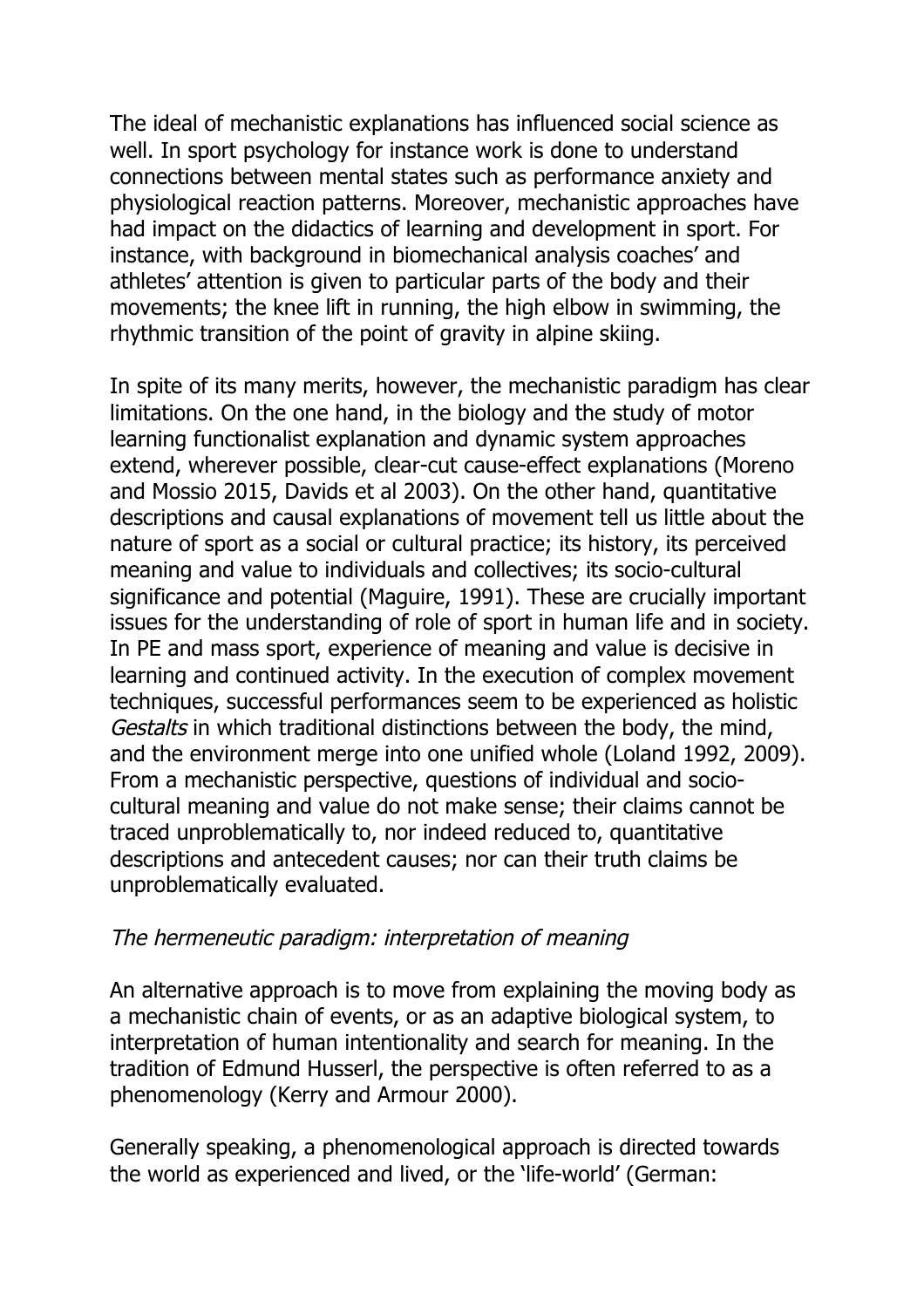The ideal of mechanistic explanations has influenced social science as well. In sport psychology for instance work is done to understand connections between mental states such as performance anxiety and physiological reaction patterns. Moreover, mechanistic approaches have had impact on the didactics of learning and development in sport. For instance, with background in biomechanical analysis coaches' and athletes' attention is given to particular parts of the body and their movements; the knee lift in running, the high elbow in swimming, the rhythmic transition of the point of gravity in alpine skiing.

In spite of its many merits, however, the mechanistic paradigm has clear limitations. On the one hand, in the biology and the study of motor learning functionalist explanation and dynamic system approaches extend, wherever possible, clear-cut cause-effect explanations (Moreno and Mossio 2015, Davids et al 2003). On the other hand, quantitative descriptions and causal explanations of movement tell us little about the nature of sport as a social or cultural practice; its history, its perceived meaning and value to individuals and collectives; its socio-cultural significance and potential (Maguire, 1991). These are crucially important issues for the understanding of role of sport in human life and in society. In PE and mass sport, experience of meaning and value is decisive in learning and continued activity. In the execution of complex movement techniques, successful performances seem to be experienced as holistic Gestalts in which traditional distinctions between the body, the mind, and the environment merge into one unified whole (Loland 1992, 2009). From a mechanistic perspective, questions of individual and sociocultural meaning and value do not make sense; their claims cannot be traced unproblematically to, nor indeed reduced to, quantitative descriptions and antecedent causes; nor can their truth claims be unproblematically evaluated.

#### The hermeneutic paradigm: interpretation of meaning

An alternative approach is to move from explaining the moving body as a mechanistic chain of events, or as an adaptive biological system, to interpretation of human intentionality and search for meaning. In the tradition of Edmund Husserl, the perspective is often referred to as a phenomenology (Kerry and Armour 2000).

Generally speaking, a phenomenological approach is directed towards the world as experienced and lived, or the 'life-world' (German: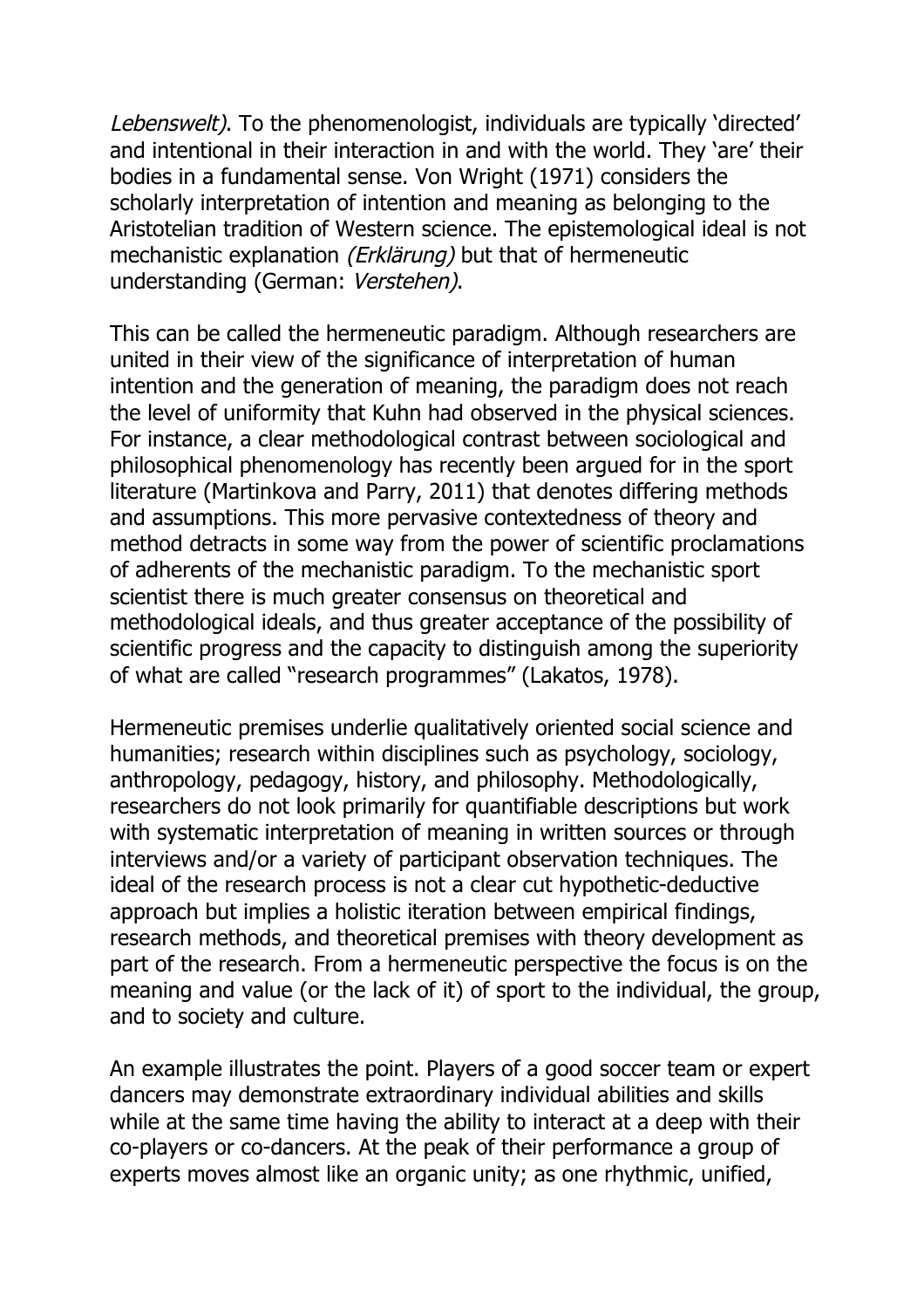Lebenswelt). To the phenomenologist, individuals are typically 'directed' and intentional in their interaction in and with the world. They 'are' their bodies in a fundamental sense. Von Wright (1971) considers the scholarly interpretation of intention and meaning as belonging to the Aristotelian tradition of Western science. The epistemological ideal is not mechanistic explanation (Erklärung) but that of hermeneutic understanding (German: Verstehen).

This can be called the hermeneutic paradigm. Although researchers are united in their view of the significance of interpretation of human intention and the generation of meaning, the paradigm does not reach the level of uniformity that Kuhn had observed in the physical sciences. For instance, a clear methodological contrast between sociological and philosophical phenomenology has recently been argued for in the sport literature (Martinkova and Parry, 2011) that denotes differing methods and assumptions. This more pervasive contextedness of theory and method detracts in some way from the power of scientific proclamations of adherents of the mechanistic paradigm. To the mechanistic sport scientist there is much greater consensus on theoretical and methodological ideals, and thus greater acceptance of the possibility of scientific progress and the capacity to distinguish among the superiority of what are called "research programmes" (Lakatos, 1978).

Hermeneutic premises underlie qualitatively oriented social science and humanities; research within disciplines such as psychology, sociology, anthropology, pedagogy, history, and philosophy. Methodologically, researchers do not look primarily for quantifiable descriptions but work with systematic interpretation of meaning in written sources or through interviews and/or a variety of participant observation techniques. The ideal of the research process is not a clear cut hypothetic-deductive approach but implies a holistic iteration between empirical findings, research methods, and theoretical premises with theory development as part of the research. From a hermeneutic perspective the focus is on the meaning and value (or the lack of it) of sport to the individual, the group, and to society and culture.

An example illustrates the point. Players of a good soccer team or expert dancers may demonstrate extraordinary individual abilities and skills while at the same time having the ability to interact at a deep with their co-players or co-dancers. At the peak of their performance a group of experts moves almost like an organic unity; as one rhythmic, unified,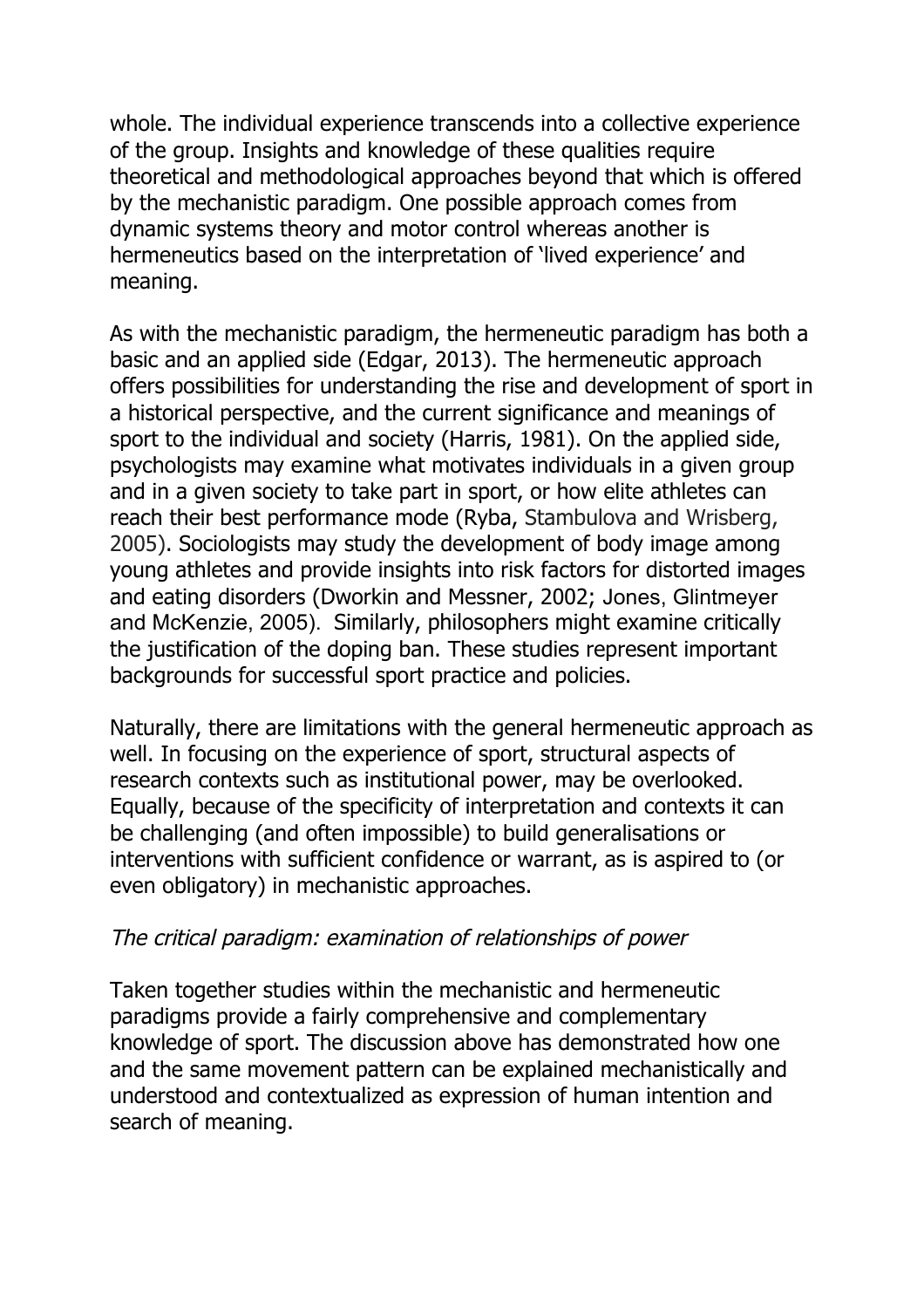whole. The individual experience transcends into a collective experience of the group. Insights and knowledge of these qualities require theoretical and methodological approaches beyond that which is offered by the mechanistic paradigm. One possible approach comes from dynamic systems theory and motor control whereas another is hermeneutics based on the interpretation of 'lived experience' and meaning.

As with the mechanistic paradigm, the hermeneutic paradigm has both a basic and an applied side (Edgar, 2013). The hermeneutic approach offers possibilities for understanding the rise and development of sport in a historical perspective, and the current significance and meanings of sport to the individual and society (Harris, 1981). On the applied side, psychologists may examine what motivates individuals in a given group and in a given society to take part in sport, or how elite athletes can reach their best performance mode (Ryba, Stambulova and Wrisberg, 2005). Sociologists may study the development of body image among young athletes and provide insights into risk factors for distorted images and eating disorders (Dworkin and Messner, 2002; Jones, Glintmeyer and McKenzie, 2005). Similarly, philosophers might examine critically the justification of the doping ban. These studies represent important backgrounds for successful sport practice and policies.

Naturally, there are limitations with the general hermeneutic approach as well. In focusing on the experience of sport, structural aspects of research contexts such as institutional power, may be overlooked. Equally, because of the specificity of interpretation and contexts it can be challenging (and often impossible) to build generalisations or interventions with sufficient confidence or warrant, as is aspired to (or even obligatory) in mechanistic approaches.

### The critical paradigm: examination of relationships of power

Taken together studies within the mechanistic and hermeneutic paradigms provide a fairly comprehensive and complementary knowledge of sport. The discussion above has demonstrated how one and the same movement pattern can be explained mechanistically and understood and contextualized as expression of human intention and search of meaning.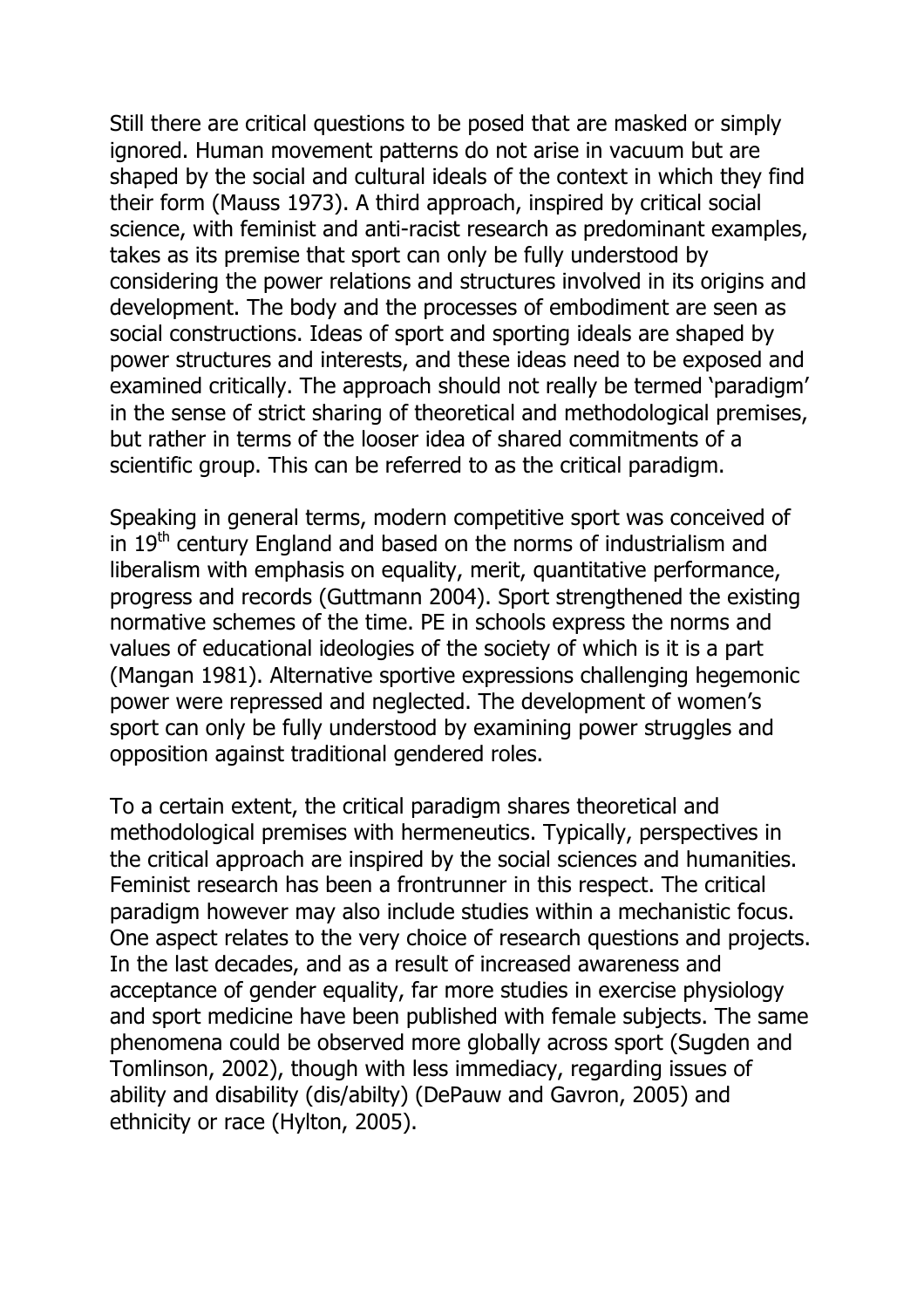Still there are critical questions to be posed that are masked or simply ignored. Human movement patterns do not arise in vacuum but are shaped by the social and cultural ideals of the context in which they find their form (Mauss 1973). A third approach, inspired by critical social science, with feminist and anti-racist research as predominant examples, takes as its premise that sport can only be fully understood by considering the power relations and structures involved in its origins and development. The body and the processes of embodiment are seen as social constructions. Ideas of sport and sporting ideals are shaped by power structures and interests, and these ideas need to be exposed and examined critically. The approach should not really be termed 'paradigm' in the sense of strict sharing of theoretical and methodological premises, but rather in terms of the looser idea of shared commitments of a scientific group. This can be referred to as the critical paradigm.

Speaking in general terms, modern competitive sport was conceived of in  $19<sup>th</sup>$  century England and based on the norms of industrialism and liberalism with emphasis on equality, merit, quantitative performance, progress and records (Guttmann 2004). Sport strengthened the existing normative schemes of the time. PE in schools express the norms and values of educational ideologies of the society of which is it is a part (Mangan 1981). Alternative sportive expressions challenging hegemonic power were repressed and neglected. The development of women's sport can only be fully understood by examining power struggles and opposition against traditional gendered roles.

To a certain extent, the critical paradigm shares theoretical and methodological premises with hermeneutics. Typically, perspectives in the critical approach are inspired by the social sciences and humanities. Feminist research has been a frontrunner in this respect. The critical paradigm however may also include studies within a mechanistic focus. One aspect relates to the very choice of research questions and projects. In the last decades, and as a result of increased awareness and acceptance of gender equality, far more studies in exercise physiology and sport medicine have been published with female subjects. The same phenomena could be observed more globally across sport (Sugden and Tomlinson, 2002), though with less immediacy, regarding issues of ability and disability (dis/abilty) (DePauw and Gavron, 2005) and ethnicity or race (Hylton, 2005).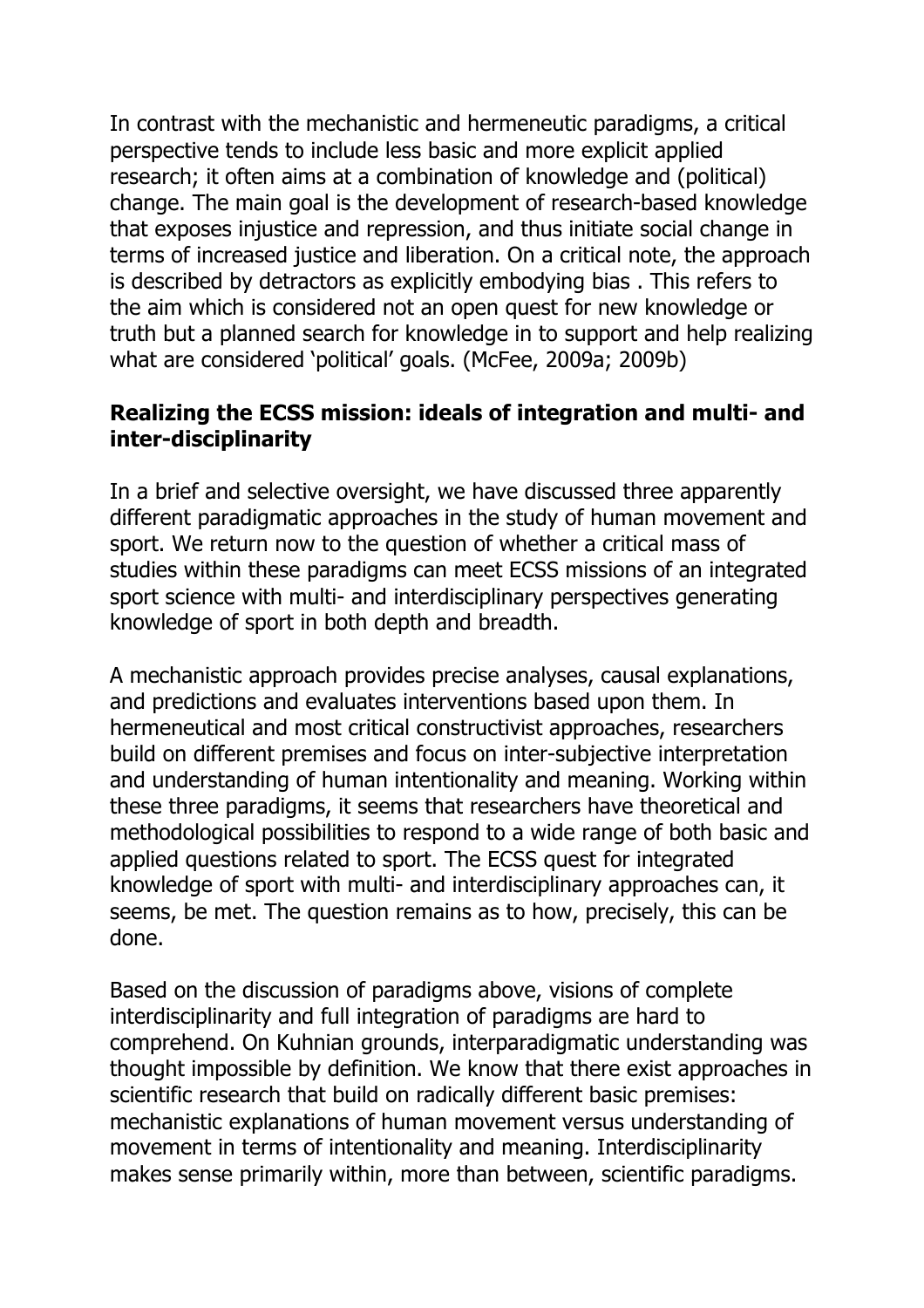In contrast with the mechanistic and hermeneutic paradigms, a critical perspective tends to include less basic and more explicit applied research; it often aims at a combination of knowledge and (political) change. The main goal is the development of research-based knowledge that exposes injustice and repression, and thus initiate social change in terms of increased justice and liberation. On a critical note, the approach is described by detractors as explicitly embodying bias . This refers to the aim which is considered not an open quest for new knowledge or truth but a planned search for knowledge in to support and help realizing what are considered 'political' goals. (McFee, 2009a; 2009b)

## **Realizing the ECSS mission: ideals of integration and multi- and inter-disciplinarity**

In a brief and selective oversight, we have discussed three apparently different paradigmatic approaches in the study of human movement and sport. We return now to the question of whether a critical mass of studies within these paradigms can meet ECSS missions of an integrated sport science with multi- and interdisciplinary perspectives generating knowledge of sport in both depth and breadth.

A mechanistic approach provides precise analyses, causal explanations, and predictions and evaluates interventions based upon them. In hermeneutical and most critical constructivist approaches, researchers build on different premises and focus on inter-subjective interpretation and understanding of human intentionality and meaning. Working within these three paradigms, it seems that researchers have theoretical and methodological possibilities to respond to a wide range of both basic and applied questions related to sport. The ECSS quest for integrated knowledge of sport with multi- and interdisciplinary approaches can, it seems, be met. The question remains as to how, precisely, this can be done.

Based on the discussion of paradigms above, visions of complete interdisciplinarity and full integration of paradigms are hard to comprehend. On Kuhnian grounds, interparadigmatic understanding was thought impossible by definition. We know that there exist approaches in scientific research that build on radically different basic premises: mechanistic explanations of human movement versus understanding of movement in terms of intentionality and meaning. Interdisciplinarity makes sense primarily within, more than between, scientific paradigms.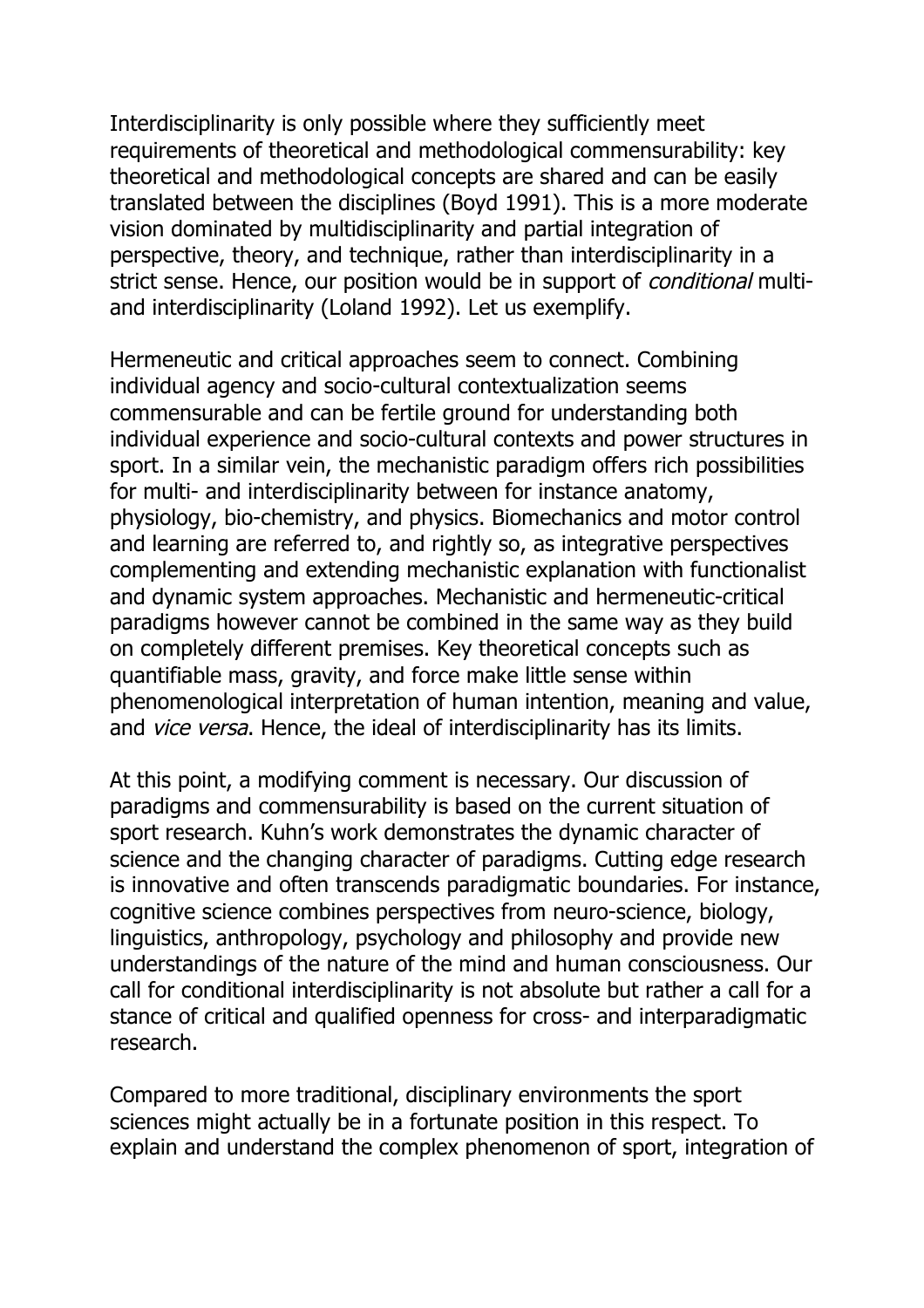Interdisciplinarity is only possible where they sufficiently meet requirements of theoretical and methodological commensurability: key theoretical and methodological concepts are shared and can be easily translated between the disciplines (Boyd 1991). This is a more moderate vision dominated by multidisciplinarity and partial integration of perspective, theory, and technique, rather than interdisciplinarity in a strict sense. Hence, our position would be in support of *conditional* multiand interdisciplinarity (Loland 1992). Let us exemplify.

Hermeneutic and critical approaches seem to connect. Combining individual agency and socio-cultural contextualization seems commensurable and can be fertile ground for understanding both individual experience and socio-cultural contexts and power structures in sport. In a similar vein, the mechanistic paradigm offers rich possibilities for multi- and interdisciplinarity between for instance anatomy, physiology, bio-chemistry, and physics. Biomechanics and motor control and learning are referred to, and rightly so, as integrative perspectives complementing and extending mechanistic explanation with functionalist and dynamic system approaches. Mechanistic and hermeneutic-critical paradigms however cannot be combined in the same way as they build on completely different premises. Key theoretical concepts such as quantifiable mass, gravity, and force make little sense within phenomenological interpretation of human intention, meaning and value, and *vice versa*. Hence, the ideal of interdisciplinarity has its limits.

At this point, a modifying comment is necessary. Our discussion of paradigms and commensurability is based on the current situation of sport research. Kuhn's work demonstrates the dynamic character of science and the changing character of paradigms. Cutting edge research is innovative and often transcends paradigmatic boundaries. For instance, cognitive science combines perspectives from neuro-science, biology, linguistics, anthropology, psychology and philosophy and provide new understandings of the nature of the mind and human consciousness. Our call for conditional interdisciplinarity is not absolute but rather a call for a stance of critical and qualified openness for cross- and interparadigmatic research.

Compared to more traditional, disciplinary environments the sport sciences might actually be in a fortunate position in this respect. To explain and understand the complex phenomenon of sport, integration of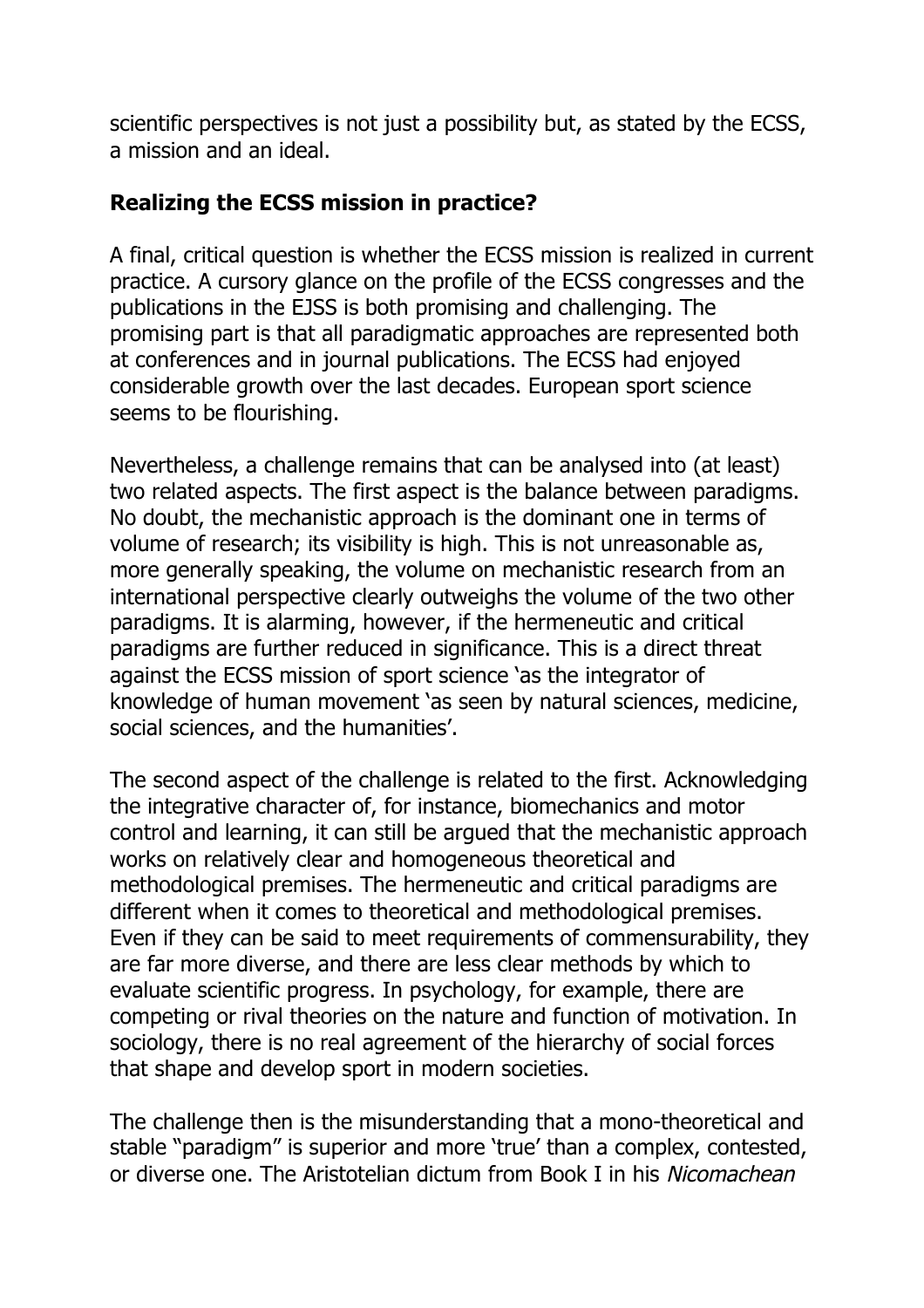scientific perspectives is not just a possibility but, as stated by the ECSS, a mission and an ideal.

## **Realizing the ECSS mission in practice?**

A final, critical question is whether the ECSS mission is realized in current practice. A cursory glance on the profile of the ECSS congresses and the publications in the EJSS is both promising and challenging. The promising part is that all paradigmatic approaches are represented both at conferences and in journal publications. The ECSS had enjoyed considerable growth over the last decades. European sport science seems to be flourishing.

Nevertheless, a challenge remains that can be analysed into (at least) two related aspects. The first aspect is the balance between paradigms. No doubt, the mechanistic approach is the dominant one in terms of volume of research; its visibility is high. This is not unreasonable as, more generally speaking, the volume on mechanistic research from an international perspective clearly outweighs the volume of the two other paradigms. It is alarming, however, if the hermeneutic and critical paradigms are further reduced in significance. This is a direct threat against the ECSS mission of sport science 'as the integrator of knowledge of human movement 'as seen by natural sciences, medicine, social sciences, and the humanities'.

The second aspect of the challenge is related to the first. Acknowledging the integrative character of, for instance, biomechanics and motor control and learning, it can still be argued that the mechanistic approach works on relatively clear and homogeneous theoretical and methodological premises. The hermeneutic and critical paradigms are different when it comes to theoretical and methodological premises. Even if they can be said to meet requirements of commensurability, they are far more diverse, and there are less clear methods by which to evaluate scientific progress. In psychology, for example, there are competing or rival theories on the nature and function of motivation. In sociology, there is no real agreement of the hierarchy of social forces that shape and develop sport in modern societies.

The challenge then is the misunderstanding that a mono-theoretical and stable "paradigm" is superior and more 'true' than a complex, contested, or diverse one. The Aristotelian dictum from Book I in his Nicomachean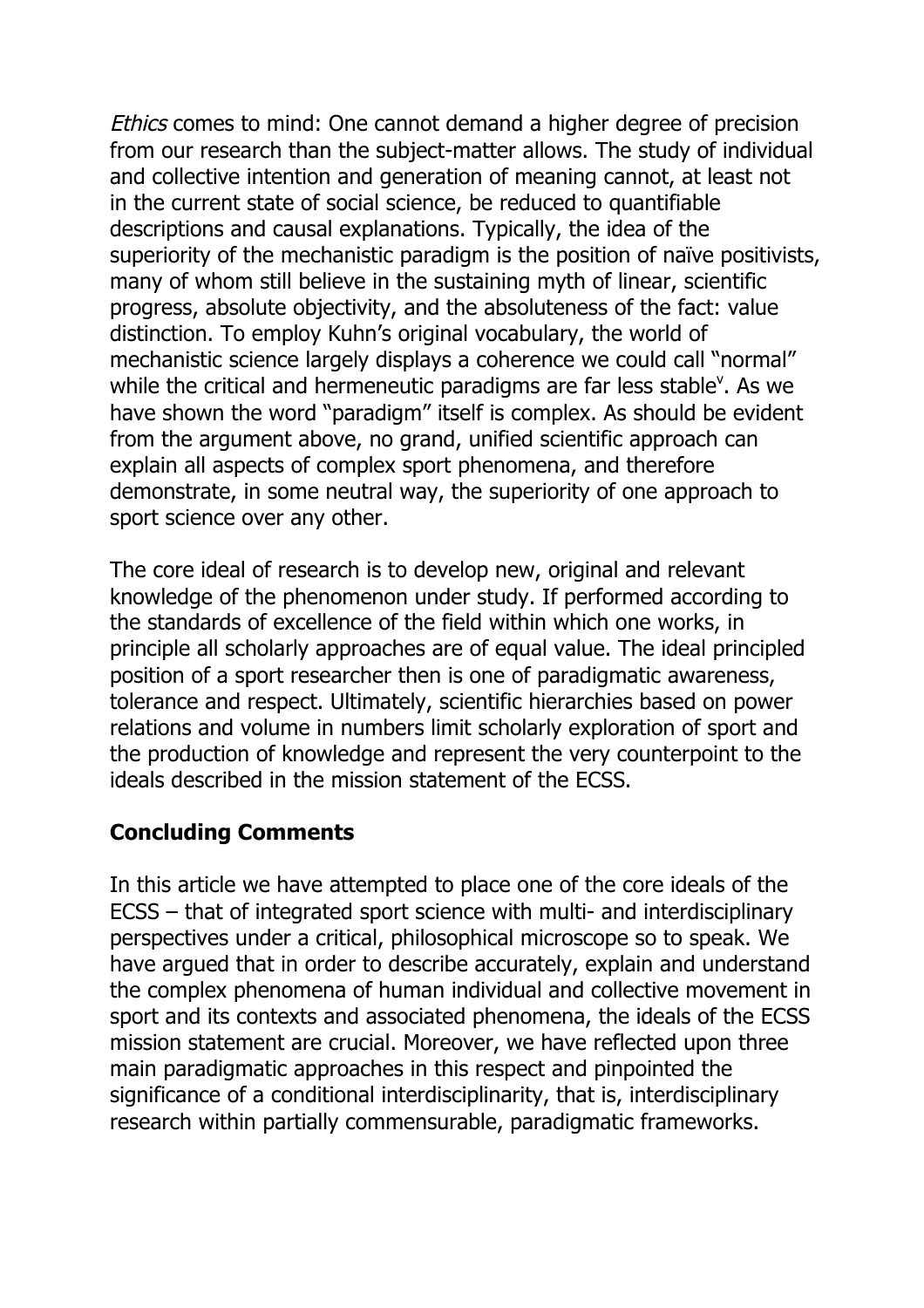Ethics comes to mind: One cannot demand a higher degree of precision from our research than the subject-matter allows. The study of individual and collective intention and generation of meaning cannot, at least not in the current state of social science, be reduced to quantifiable descriptions and causal explanations. Typically, the idea of the superiority of the mechanistic paradigm is the position of naïve positivists, many of whom still believe in the sustaining myth of linear, scientific progress, absolute objectivity, and the absoluteness of the fact: value distinction. To employ Kuhn's original vocabulary, the world of mechanistic science largely displays a coherence we could call "normal" while the critical and hermeneutic paradigms are far less stable<sup>v</sup>. As we have shown the word "paradigm" itself is complex. As should be evident from the argument above, no grand, unified scientific approach can explain all aspects of complex sport phenomena, and therefore demonstrate, in some neutral way, the superiority of one approach to sport science over any other.

The core ideal of research is to develop new, original and relevant knowledge of the phenomenon under study. If performed according to the standards of excellence of the field within which one works, in principle all scholarly approaches are of equal value. The ideal principled position of a sport researcher then is one of paradigmatic awareness, tolerance and respect. Ultimately, scientific hierarchies based on power relations and volume in numbers limit scholarly exploration of sport and the production of knowledge and represent the very counterpoint to the ideals described in the mission statement of the ECSS.

### **Concluding Comments**

In this article we have attempted to place one of the core ideals of the ECSS – that of integrated sport science with multi- and interdisciplinary perspectives under a critical, philosophical microscope so to speak. We have argued that in order to describe accurately, explain and understand the complex phenomena of human individual and collective movement in sport and its contexts and associated phenomena, the ideals of the ECSS mission statement are crucial. Moreover, we have reflected upon three main paradigmatic approaches in this respect and pinpointed the significance of a conditional interdisciplinarity, that is, interdisciplinary research within partially commensurable, paradigmatic frameworks.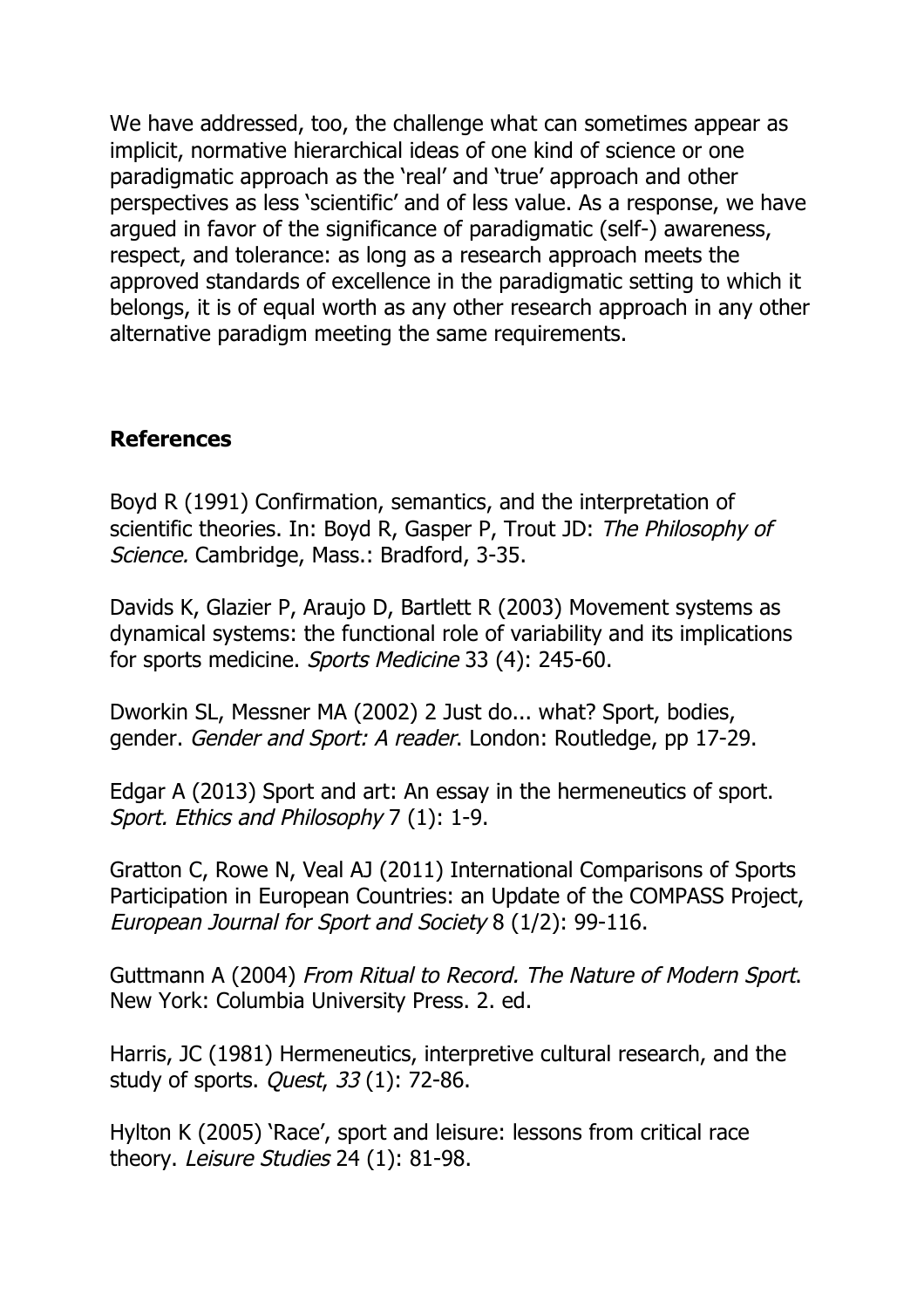We have addressed, too, the challenge what can sometimes appear as implicit, normative hierarchical ideas of one kind of science or one paradigmatic approach as the 'real' and 'true' approach and other perspectives as less 'scientific' and of less value. As a response, we have argued in favor of the significance of paradigmatic (self-) awareness, respect, and tolerance: as long as a research approach meets the approved standards of excellence in the paradigmatic setting to which it belongs, it is of equal worth as any other research approach in any other alternative paradigm meeting the same requirements.

#### **References**

Boyd R (1991) Confirmation, semantics, and the interpretation of scientific theories. In: Boyd R, Gasper P, Trout JD: The Philosophy of Science. Cambridge, Mass.: Bradford, 3-35.

Davids K, Glazier P, Araujo D, Bartlett R (2003) Movement systems as dynamical systems: the functional role of variability and its implications for sports medicine. Sports Medicine 33 (4): 245-60.

Dworkin SL, Messner MA (2002) 2 Just do... what? Sport, bodies, gender. Gender and Sport: A reader. London: Routledge, pp 17-29.

Edgar A (2013) Sport and art: An essay in the hermeneutics of sport. Sport. Ethics and Philosophy 7 (1): 1-9.

Gratton C, Rowe N, Veal AJ (2011) International Comparisons of Sports Participation in European Countries: an Update of the COMPASS Project, European Journal for Sport and Society 8 (1/2): 99-116.

Guttmann A (2004) From Ritual to Record. The Nature of Modern Sport. New York: Columbia University Press. 2. ed.

Harris, JC (1981) Hermeneutics, interpretive cultural research, and the study of sports. Quest, 33 (1): 72-86.

Hylton K (2005) 'Race', sport and leisure: lessons from critical race theory. Leisure Studies 24 (1): 81-98.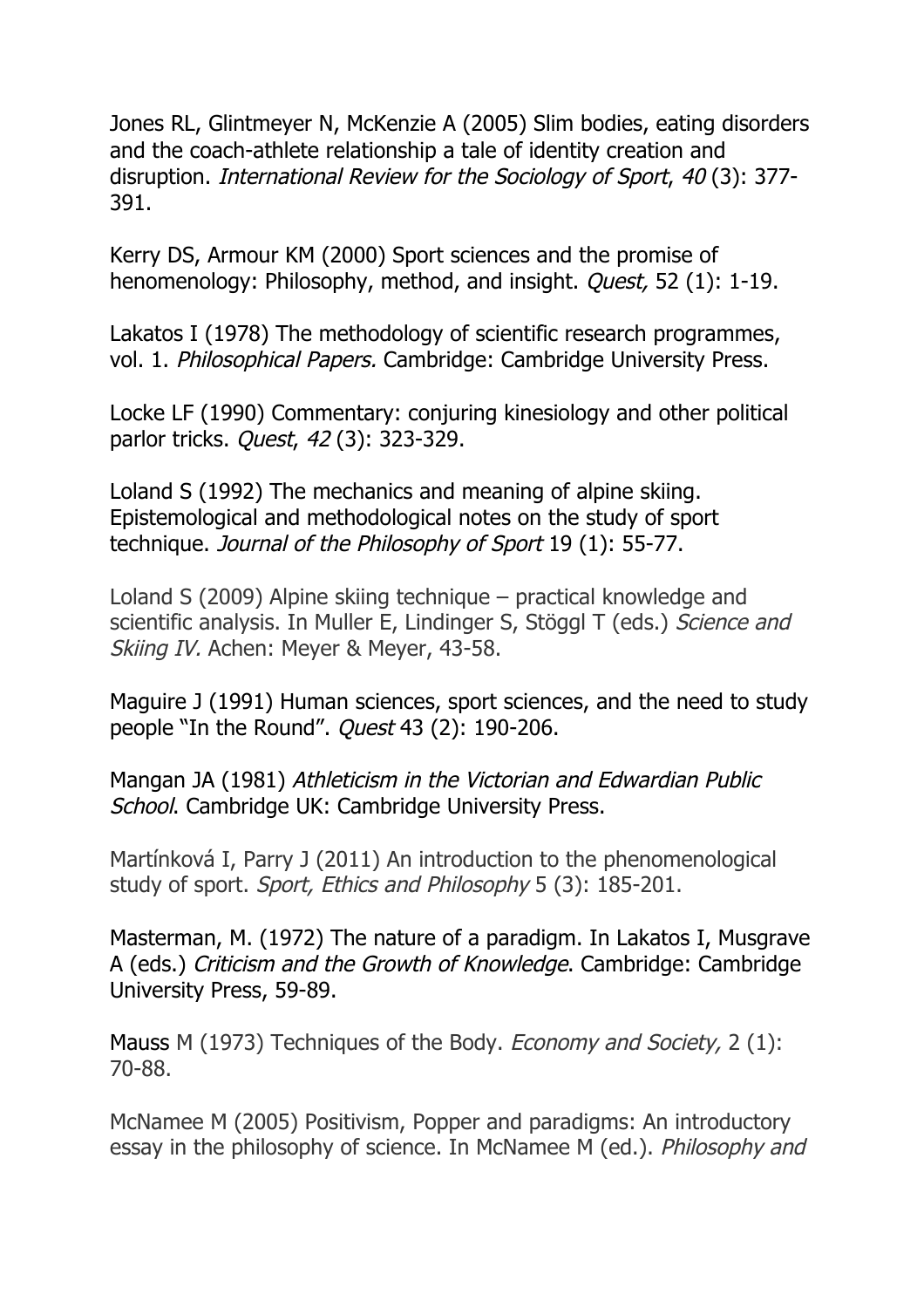Jones RL, Glintmeyer N, McKenzie A (2005) Slim bodies, eating disorders and the coach-athlete relationship a tale of identity creation and disruption. International Review for the Sociology of Sport, 40 (3): 377- 391.

Kerry DS, Armour KM (2000) Sport sciences and the promise of henomenology: Philosophy, method, and insight. *Ouest*, 52 (1): 1-19.

Lakatos I (1978) The methodology of scientific research programmes, vol. 1. Philosophical Papers. Cambridge: Cambridge University Press.

Locke LF (1990) Commentary: conjuring kinesiology and other political parlor tricks. Quest, 42 (3): 323-329.

Loland S (1992) The mechanics and meaning of alpine skiing. Epistemological and methodological notes on the study of sport technique. Journal of the Philosophy of Sport 19 (1): 55-77.

Loland S (2009) Alpine skiing technique – practical knowledge and scientific analysis. In Muller E, Lindinger S, Stöggl T (eds.) Science and Skiing IV. Achen: Meyer & Meyer, 43-58.

Maguire J (1991) Human sciences, sport sciences, and the need to study people "In the Round". *Quest* 43 (2): 190-206.

Mangan JA (1981) Athleticism in the Victorian and Edwardian Public School. Cambridge UK: Cambridge University Press.

Martínková I, Parry J (2011) An introduction to the phenomenological study of sport. Sport, Ethics and Philosophy 5 (3): 185-201.

Masterman, M. (1972) The nature of a paradigm. In Lakatos I, Musgrave A (eds.) Criticism and the Growth of Knowledge. Cambridge: Cambridge University Press, 59-89.

Mauss M (1973) Techniques of the Body. *Economy and Society*, 2 (1): 70-88.

McNamee M (2005) Positivism, Popper and paradigms: An introductory essay in the philosophy of science. In McNamee M (ed.). Philosophy and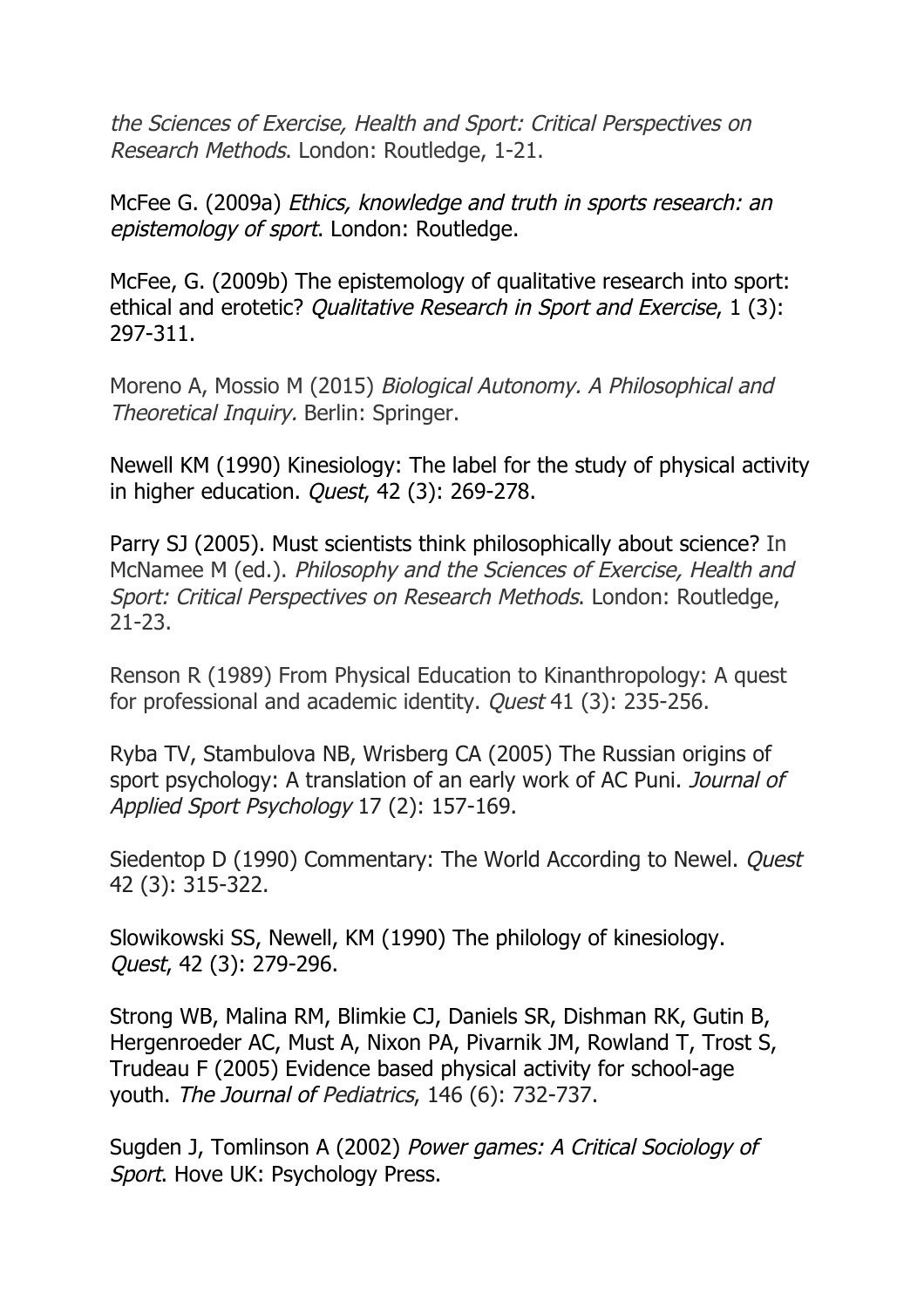the Sciences of Exercise, Health and Sport: Critical Perspectives on Research Methods. London: Routledge, 1-21.

McFee G. (2009a) Ethics, knowledge and truth in sports research: an epistemology of sport. London: Routledge.

McFee, G. (2009b) The epistemology of qualitative research into sport: ethical and erotetic? Qualitative Research in Sport and Exercise, 1 (3): 297-311.

Moreno A, Mossio M (2015) Biological Autonomy. A Philosophical and Theoretical Inquiry. Berlin: Springer.

Newell KM (1990) Kinesiology: The label for the study of physical activity in higher education. Quest, 42 (3): 269-278.

Parry SJ (2005). Must scientists think philosophically about science? In McNamee M (ed.). Philosophy and the Sciences of Exercise, Health and Sport: Critical Perspectives on Research Methods. London: Routledge, 21-23.

Renson R (1989) From Physical Education to Kinanthropology: A quest for professional and academic identity. Quest 41 (3): 235-256.

Ryba TV, Stambulova NB, Wrisberg CA (2005) The Russian origins of sport psychology: A translation of an early work of AC Puni. Journal of Applied Sport Psychology 17 (2): 157-169.

Siedentop D (1990) Commentary: The World According to Newel. Ouest 42 (3): 315-322.

Slowikowski SS, Newell, KM (1990) The philology of kinesiology. Quest, 42 (3): 279-296.

Strong WB, Malina RM, Blimkie CJ, Daniels SR, Dishman RK, Gutin B, Hergenroeder AC, Must A, Nixon PA, Pivarnik JM, Rowland T, Trost S, Trudeau F (2005) Evidence based physical activity for school-age youth. The Journal of Pediatrics, 146 (6): 732-737.

Sugden J, Tomlinson A (2002) Power games: A Critical Sociology of Sport. Hove UK: Psychology Press.